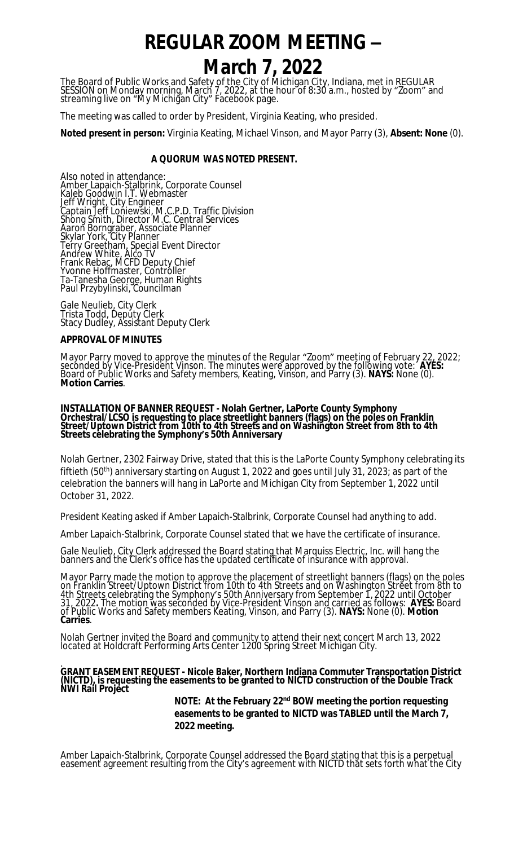# **REGULAR ZOOM MEETING –**

# **March 7, 2022**

The Board of Public Works and Safety of the City of Michigan City, Indiana, met in REGULAR SESSION on Monday morning, March 7, 2022, at the hour of 8:30 a.m., hosted by "Zoom" and streaming live on "My Michigan City" Facebook page.

The meeting was called to order by President, Virginia Keating, who presided.

**Noted present in person:** Virginia Keating, Michael Vinson, and Mayor Parry (3), **Absent: None** (0).

# **A QUORUM WAS NOTED PRESENT.**

Also noted in attendance: Amber Lapaich-Stalbrink, Corporate Counsel Kaleb Goodwin I.T. Webmaster Jeff Wright, City Engineer Captain Jeff Loniewski, M.C.P.D. Traffic Division Shong Smith, Director M.C. Central Services Aaron Borngraber, Associate Planner Skylar York, City Planner Terry Greetham, Special Event Director Andrew White, Alco TV Frank Rebac, MCFD Deputy Chief Yvonne Hoffmaster, Contróller Ta-Tanesha George, Human Rights Paul Przybylinski, Councilman

Gale Neulieb, City Clerk Trista Todd, Deputy Clerk Stacy Dudley, Assistant Deputy Clerk

# **APPROVAL OF MINUTES**

Mayor Parry moved to approve the minutes of the Regular "Zoom" meeting of February 22, 2022;<br>seconded by Vice-President Vinson. The minutes were approved by the following vote: AYES: seconded by Vice-President Vinson. The minutes were approved by the following vote: **AYES:**  Board of Public Works and Safety members, Keating, Vinson, and Parry (3). **NAYS:** None (0). **Motion Carries**.

#### **INSTALLATION OF BANNER REQUEST - Nolah Gertner, LaPorte County Symphony Orchestral/LCSO is requesting to place streetlight banners (flags) on the poles on Franklin Street/Uptown District from 10th to 4th Streets and on Washington Street from 8th to 4th Streets celebrating the Symphony's 50th Anniversary**

Nolah Gertner, 2302 Fairway Drive, stated that this is the LaPorte County Symphony celebrating its fiftieth (50<sup>th</sup>) anniversary starting on August 1, 2022 and goes until July 31, 2023; as part of the celebration the banners will hang in LaPorte and Michigan City from September 1, 2022 until October 31, 2022.

President Keating asked if Amber Lapaich-Stalbrink, Corporate Counsel had anything to add.

Amber Lapaich-Stalbrink, Corporate Counsel stated that we have the certificate of insurance.

Gale Neulieb, City Clerk addressed the Board stating that Marquiss Electric, Inc. will hang the banners and the Clerk's office has the updated certificate of insurance with approval.

Mayor Parry made the motion to approve the placement of streetlight banners (flags) on the poles on Franklin Street/Uptown District from 10th to 4th Streets and on Washington Street from 8th to 4th Streets celebrating the Symphony's 50th Anniversary from September 1, 2022 until October 31, 2022**.** The motion was seconded by Vice-President Vinson and carried as follows: **AYES:** Board of Public Works and Safety members Keating, Vinson, and Parry (3). **NAYS:** None (0). **Motion Carries**.

Nolah Gertner invited the Board and community to attend their next concert March 13, 2022 located at Holdcraft Performing Arts Center 1200 Spring Street Michigan City.

#### . **GRANT EASEMENT REQUEST - Nicole Baker, Northern Indiana Commuter Transportation District (NICTD), is requesting the easements to be granted to NICTD construction of the Double Track NWI Rail Project**

# **NOTE: At the February 22nd BOW meeting the portion requesting easements to be granted to NICTD was TABLED until the March 7, 2022 meeting.**

Amber Lapaich-Stalbrink, Corporate Counsel addressed the Board stating that this is a perpetual easement agreement resulting from the City's agreement with NICTD that sets forth what the City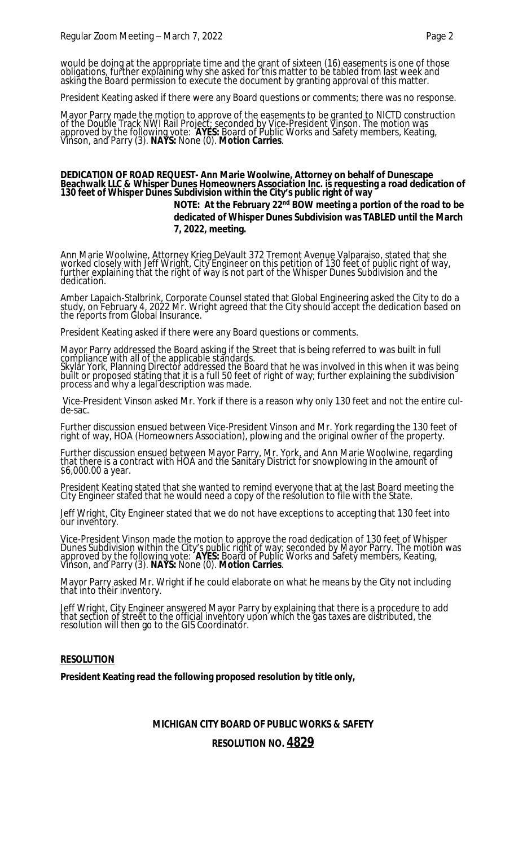would be doing at the appropriate time and the grant of sixteen (16) easements is one of those obligations, further explaining why she asked for this matter to be tabled from last week and askiñg the Board permission to execute the document by granting approval of this matter.

President Keating asked if there were any Board questions or comments; there was no response.

Mayor Parry made the motion to approve of the easements to be granted to NICTD construction of the Double Track NWI Rail Project; seconded by Vice-President Vinson. The motion was approved by the following vote: **AYES:** Board of Public Works and Safety members, Keating, Vinson, and Parry (3). **NAYS:** None (0). **Motion Carries**.

#### **DEDICATION OF ROAD REQUEST- Ann Marie Woolwine, Attorney on behalf of Dunescape Beachwalk LLC & Whisper Dunes Homeowners Association Inc. is requesting a road dedication of 130 feet of Whisper Dunes Subdivision within the City's public right of way**

**NOTE: At the February 22nd BOW meeting a portion of the road to be dedicated of Whisper Dunes Subdivision was TABLED until the March 7, 2022, meeting.**

Ann Marie Woolwine, Attorney Krieg DeVault 372 Tremont Avenue Valparaiso, stated that she worked closely with Jeff Wright, City Engineer on this petition of 130 feet of public right of way, further explaining that the right of way is not part of the Whisper Dunes Subdivision and the dedication.

Amber Lapaich-Stalbrink, Corporate Counsel stated that Global Engineering asked the City to do a study, on February 4, 2022 Mr. Wright agreed that the City should accept the dedication based on the reports from Global Insurance.

President Keating asked if there were any Board questions or comments.

Mayor Parry addressed the Board asking if the Street that is being referred to was built in full compliance with all of the applicable standards. Skylar York, Planning Director addressed the Board that he was involved in this when it was being built or proposed stating that it is a full 50 feet of right of way; further explaining the subdivision process and why a legal description was made.

Vice-President Vinson asked Mr. York if there is a reason why only 130 feet and not the entire culde-sac.

Further discussion ensued between Vice-President Vinson and Mr. York regarding the 130 feet of right of way, HOA (Homeowners Association), plowing and the original owner of the property.

Further discussion ensued between Mayor Parry, Mr. York, and Ann Marie Woolwine, regarding that there is a contract with HOA and the Sanitary District for snowplowing in the amount of \$6,000.00 a year.

President Keating stated that she wanted to remind everyone that at the last Board meeting the City Engineer stated that he would need a copy of the resolution to file with the State.

Jeff Wright, City Engineer stated that we do not have exceptions to accepting that 130 feet into our inventory.

Vice-President Vinson made the motion to approve the road dedication of 130 feet of Whisper Dunes Subdivision within the City's public right of way; seconded by Mayor Parry. The motion was approved by the following vote: **AYES:** Board of Public Works and Safety members, Keating, Vinson, and Parry (3). **NAYS:** None (0). **Motion Carries**.

Mayor Parry asked Mr. Wright if he could elaborate on what he means by the City not including that into their inventory.

Jeff Wright, City Engineer answered Mayor Parry by explaining that there is a procedure to add that section of street to the official inventory upon which the gas taxes are distributed, the resolution will then go to the GIS Coordinator.

# **RESOLUTION**

**President Keating read the following proposed resolution by title only,**

# **MICHIGAN CITY BOARD OF PUBLIC WORKS & SAFETY RESOLUTION NO. 4829**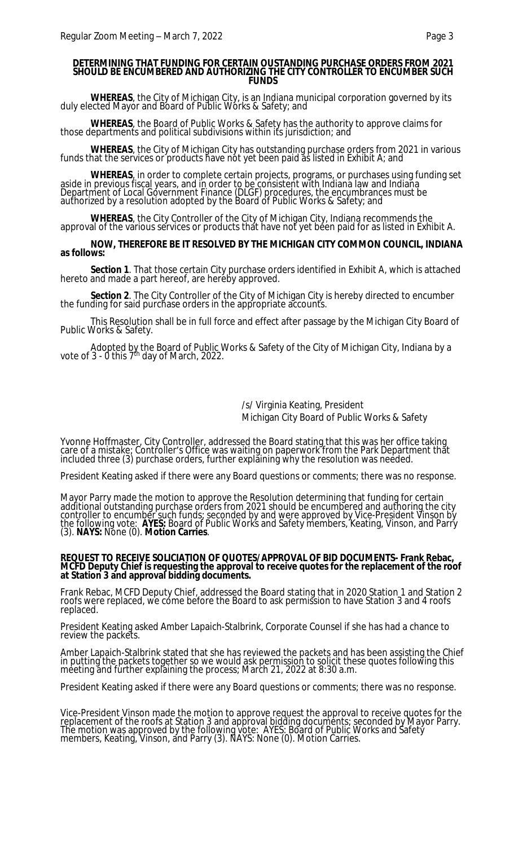#### **DETERMINING THAT FUNDING FOR CERTAIN OUSTANDING PURCHASE ORDERS FROM 2021 SHOULD BE ENCUMBERED AND AUTHORIZING THE CITY CONTROLLER TO ENCUMBER SUCH FUNDS**

**WHEREAS**, the City of Michigan City, is an Indiana municipal corporation governed by its duly elected Mayor and Board of Public Works & Safety; and

**WHEREAS**, the Board of Public Works & Safety has the authority to approve claims for those departments and political subdivisions within its jurisdiction; and

**WHEREAS**, the City of Michigan City has outstanding purchase orders from 2021 in various funds that the services or products have not yet been paid as listed in Exhibit A; and

**WHEREAS**, in order to complete certain projects, programs, or purchases using funding set aside in previous fiscal years, and in order to be consistent with Indiana law and Indiana Department of Local Government Finance (DLGF) procedures, the encumbrances must be authorized by a resolution adopted by the Board of Public Works & Safety; and

**WHEREAS**, the City Controller of the City of Michigan City, Indiana recommends the approval of the various services or products that have not yet been paid for as listed in Exhibit A.

## **NOW, THEREFORE BE IT RESOLVED BY THE MICHIGAN CITY COMMON COUNCIL, INDIANA as follows:**

**Section 1**. That those certain City purchase orders identified in Exhibit A, which is attached hereto and made a part hereof, are hereby approved.

**Section 2**. The City Controller of the City of Michigan City is hereby directed to encumber the funding for said purchase orders in the appropriate accounts.

This Resolution shall be in full force and effect after passage by the Michigan City Board of Public Works & Safety.

Adopted by the Board of Public Works & Safety of the City of Michigan City, Indiana by a vote of 3 - 0 this 7th day of March, 2022.

> /s/ Virginia Keating, President Michigan City Board of Public Works & Safety

Yvonne Hoffmaster, City Controller, addressed the Board stating that this was her office taking care of a mistake; Controller's Office was waiting on paperwork from the Park Department that included three (3) purchase orders, further explaining why the resolution was needed.

President Keating asked if there were any Board questions or comments; there was no response.

Mayor Parry made the motion to approve the Resolution determining that funding for certain additional outstanding purchase orders from 2021 should be encumbered and authoring the city controller to encumber such funds; seconded by and were approved by Vice-President Vinson by the following vote: **AYES:** Board of Public Works and Safety members, Keating, Vinson, and Parry (3). **NAYS:** None (0). **Motion Carries**.

#### **REQUEST TO RECEIVE SOLICIATION OF QUOTES/APPROVAL OF BID DOCUMENTS- Frank Rebac, MCFD Deputy Chief is requesting the approval to receive quotes for the replacement of the roof at Station 3 and approval bidding documents.**

Frank Rebac, MCFD Deputy Chief, addressed the Board stating that in 2020 Station 1 and Station 2 roofs were replaced, we come before the Board to ask permission to have Station 3 and 4 roofs replaced.

President Keating asked Amber Lapaich-Stalbrink, Corporate Counsel if she has had a chance to review the packets.

Amber Lapaich-Stalbrink stated that she has reviewed the packets and has been assisting the Chief in putting the packets together so we would ask permission to solicit these quotes following this meeting and further explaining the process; March 21, 2022 at 8:30 a.m.

President Keating asked if there were any Board questions or comments; there was no response.

Vice-President Vinson made the motion to approve request the approval to receive quotes for the replacement of the roofs at Station 3 and approval bidding documents; seconded by Mayor Parry. The motion was approved by the following vote: AYES: Board of Public Works and Safety members, Keating, Vinson, and Parry (3). NAYS: None (0). Motion Carries.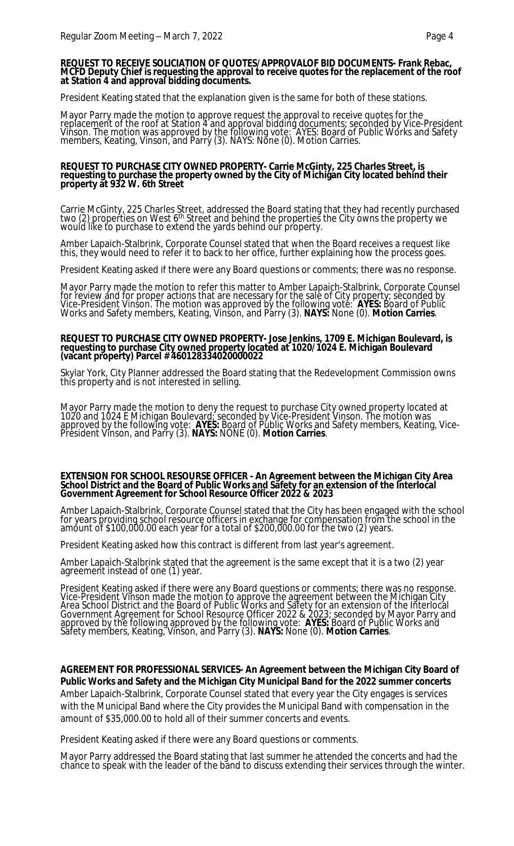#### **REQUEST TO RECEIVE SOLICIATION OF QUOTES/APPROVALOF BID DOCUMENTS- Frank Rebac, MCFD Deputy Chief is requesting the approval to receive quotes for the replacement of the roof at Station 4 and approval bidding documents.**

President Keating stated that the explanation given is the same for both of these stations.

Mayor Parry made the motion to approve request the approval to receive quotes for the replacement of the roof at Station 4 and approval bidding documents; seconded by Vice-President Vinson. The motion was approved by the following vote: AYES: Board of Public Works and Safety members, Keating, Vinson, and Parry̆ (3). NAYS: Nŏne (0). Motion Carries.

#### **REQUEST TO PURCHASE CITY OWNED PROPERTY- Carrie McGinty, 225 Charles Street, is requesting to purchase the property owned by the City of Michigan City located behind their property at 932 W. 6th Street**

Carrie McGinty, 225 Charles Street, addressed the Board stating that they had recently purchased two (2) properties on West 6<sup>th</sup> Street and behind the properties the City owns the property we would like to purchase to extend the yards behind our property.

Amber Lapaich-Stalbrink, Corporate Counsel stated that when the Board receives a request like this, they would need to refer it to back to her office, further explaining how the process goes.

President Keating asked if there were any Board questions or comments; there was no response.

Mayor Parry made the motion to refer this matter to Amber Lapaich-Stalbrink, Corporate Counsel for review and for proper actions that are necessary for the sale of City property; seconded by Vice-President Vinson. The motion was approved by the following vote: **AYES:** Board of Public Works and Safety members, Keating, Vinson, and Parry (3). **NAYS:** None (0). **Motion Carries**.

#### **REQUEST TO PURCHASE CITY OWNED PROPERTY- Jose Jenkins, 1709 E. Michigan Boulevard, is requesting to purchase City owned property located at 1020/1024 E. Michigan Boulevard (vacant property) Parcel # 460128334020000022**

Skylar York, City Planner addressed the Board stating that the Redevelopment Commission owns this property and is not interested in selling.

Mayor Parry made the motion to deny the request to purchase City owned property located at 1020 and 1024 E Michigan Boulevard; seconded by Vice-President Vinson. The motion was approved by the following vote: **AYES:** Board of Public Works and Safety members, Keating, Vice-President Vinson, and Parry (3). **NAYS:** NONE (0). **Motion Carries**.

#### **EXTENSION FOR SCHOOL RESOURSE OFFICER - An Agreement between the Michigan City Area School District and the Board of Public Works and Safety for an extension of the Interlocal Government Agreement for School Resource Officer 2022 & 2023**

Amber Lapaich-Stalbrink, Corporate Counsel stated that the City has been engaged with the school for years providing school resource officers in exchange for compensation from the school in the amóunt o'f \$100,000.00 each year for a total of \$200,000.00 for the two (2) years.

President Keating asked how this contract is different from last year's agreement.

Amber Lapaich-Stalbrink stated that the agreement is the same except that it is a two (2) year agreement instead of one (1) year.

President Keating asked if there were any Board questions or comments; there was no response. Vice-President Vinson made the motion to approve the agreement between the Michigan City Area School District and the Board of Public Works and Safety for an extension of the Interlocal Government Agreement for School Resource Officer 2022 & 2023; seconded by Mayor Parry and approved by the following approved by the following vote: **AYES:** Board of Public Works and Safety members, Keating, Vinson, and Parry (3). **NAYS:** None (0). **Motion Carries**.

**AGREEMENT FOR PROFESSIONAL SERVICES- An Agreement between the Michigan City Board of Public Works and Safety and the Michigan City Municipal Band for the 2022 summer concerts** Amber Lapaich-Stalbrink, Corporate Counsel stated that every year the City engages is services with the Municipal Band where the City provides the Municipal Band with compensation in the amount of \$35,000.00 to hold all of their summer concerts and events.

President Keating asked if there were any Board questions or comments.

Mayor Parry addressed the Board stating that last summer he attended the concerts and had the chance to sp̃eak with the leader of the bănd to discuss extending their services through the winter.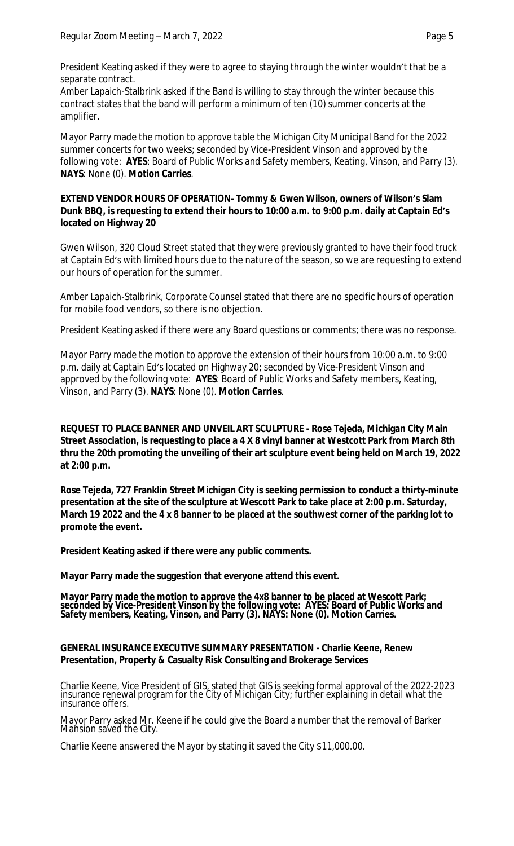President Keating asked if they were to agree to staying through the winter wouldn't that be a separate contract.

Amber Lapaich-Stalbrink asked if the Band is willing to stay through the winter because this contract states that the band will perform a minimum of ten (10) summer concerts at the amplifier.

Mayor Parry made the motion to approve table the Michigan City Municipal Band for the 2022 summer concerts for two weeks; seconded by Vice-President Vinson and approved by the following vote: **AYES**: Board of Public Works and Safety members, Keating, Vinson, and Parry (3). **NAYS**: None (0). **Motion Carries**.

# **EXTEND VENDOR HOURS OF OPERATION- Tommy & Gwen Wilson, owners of Wilson's Slam Dunk BBQ, is requesting to extend their hours to 10:00 a.m. to 9:00 p.m. daily at Captain Ed's located on Highway 20**

Gwen Wilson, 320 Cloud Street stated that they were previously granted to have their food truck at Captain Ed's with limited hours due to the nature of the season, so we are requesting to extend our hours of operation for the summer.

Amber Lapaich-Stalbrink, Corporate Counsel stated that there are no specific hours of operation for mobile food vendors, so there is no objection.

President Keating asked if there were any Board questions or comments; there was no response.

Mayor Parry made the motion to approve the extension of their hours from 10:00 a.m. to 9:00 p.m. daily at Captain Ed's located on Highway 20; seconded by Vice-President Vinson and approved by the following vote: **AYES**: Board of Public Works and Safety members, Keating, Vinson, and Parry (3). **NAYS**: None (0). **Motion Carries**.

**REQUEST TO PLACE BANNER AND UNVEIL ART SCULPTURE - Rose Tejeda, Michigan City Main Street Association, is requesting to place a 4 X 8 vinyl banner at Westcott Park from March 8th thru the 20th promoting the unveiling of their art sculpture event being held on March 19, 2022 at 2:00 p.m.**

**Rose Tejeda, 727 Franklin Street Michigan City is seeking permission to conduct a thirty-minute presentation at the site of the sculpture at Wescott Park to take place at 2:00 p.m. Saturday, March 19 2022 and the 4 x 8 banner to be placed at the southwest corner of the parking lot to promote the event.**

**President Keating asked if there were any public comments.**

**Mayor Parry made the suggestion that everyone attend this event.**

**Mayor Parry made the motion to approve the 4x8 banner to be placed at Wescott Park; seconded by Vice-President Vinson by the following vote: AYES: Board of Public Works and Safety members, Keating, Vinson, and Parry (3). NAYS: None (0). Motion Carries.**

# **GENERAL INSURANCE EXECUTIVE SUMMARY PRESENTATION - Charlie Keene, Renew Presentation, Property & Casualty Risk Consulting and Brokerage Services**

Charlie Keene, Vice President of GIS, stated that GIS is seeking formal approval of the 2022-2023 insurance renewal program for the City of Michigan City; further explaining in detail what the insurance offers.

Mayor Parry asked Mr. Keene if he could give the Board a number that the removal of Barker Mansion saved the City.

Charlie Keene answered the Mayor by stating it saved the City \$11,000.00.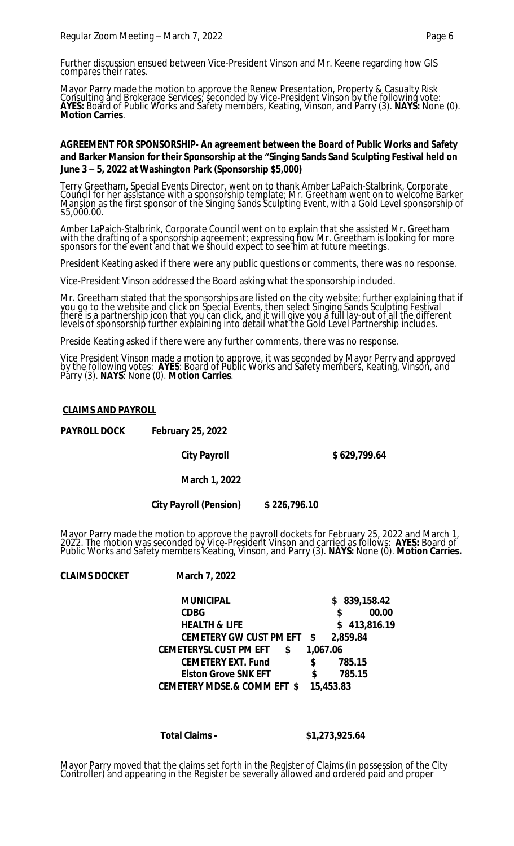Further discussion ensued between Vice-President Vinson and Mr. Keene regarding how GIS compares their rates.

Mayor Parry made the motion to approve the Renew Presentation, Property & Casualty Risk Consulting and Brokerage Services; seconded by Vice-President Vinson by the following vote: **AYES:** Board of Public Works and Safety members, Keating, Vinson, and Parry (3). **NAYS:** None (0). **Motion Carries**.

# **AGREEMENT FOR SPONSORSHIP- An agreement between the Board of Public Works and Safety and Barker Mansion for their Sponsorship at the "Singing Sands Sand Sculpting Festival held on June 3 – 5, 2022 at Washington Park (Sponsorship \$5,000)**

Terry Greetham, Special Events Director, went on to thank Amber LaPaich-Stalbrink, Corporate Council for her assistance with a sponsorship template; Mr. Greetham went on to welcome Barker Mansion as the first sponsor of the Singing Sands Sculpting Event, with a Gold Level sponsorship of \$5,000.00.

Amber LaPaich-Stalbrink, Corporate Council went on to explain that she assisted Mr. Greetham with the drafting of a sponsorship agreement; expressing how Mr. Greetham is looking for more sponsors for the event and that we should expect to see him at future meetings.

President Keating asked if there were any public questions or comments, there was no response.

Vice-President Vinson addressed the Board asking what the sponsorship included.

Mr. Greetham stated that the sponsorships are listed on the city website; further explaining that if you go to the website and click on Special Events, then select Singing Sands Sculpting Festival there is a partnership icon that you can click, and it will give you a full lay-out of all the different levels of sponsorship further explaining into detail what the Gold Level Partnership includes.

Preside Keating asked if there were any further comments, there was no response.

Vice President Vinson made a motion to approve, it was seconded by Mayor Perry and approved by the following votes: **AYES**: Board of Public Works and Safety members, Keating, Vinson, and Parry (3). **NAYS**: None (0). **Motion Carries**.

#### **CLAIMS AND PAYROLL**

**PAYROLL DOCK February 25, 2022**

**City Payroll \$ 629,799.64**

**March 1, 2022**

#### **City Payroll (Pension) \$ 226,796.10**

Mayor Parry made the motion to approve the payroll dockets for February 25, 2022 and March 1, 2022. The motion was seconded by Vice-President Vinson and carried as follows: **AYES:** Board of Public Works and Safety members Keating, Vinson, and Parry (3). **NAYS:** None (0). **Motion Carries.**

**CLAIMS DOCKET March 7, 2022** 

| <b>MUNICIPAL</b>                       | \$839,158.42 |
|----------------------------------------|--------------|
| <b>CDBG</b>                            | 00.00        |
| <b>HEALTH &amp; LIFE</b>               | \$413,816.19 |
| CEMETERY GW CUST PM EFT \$             | 2,859.84     |
| <b>CEMETERYSL CUST PM EFT</b><br>S     | 1,067.06     |
| <b>CEMETERY EXT. Fund</b>              | 785.15<br>S  |
| <b>Elston Grove SNK EFT</b>            | 785.15<br>S  |
| <b>CEMETERY MDSE.&amp; COMM EFT \$</b> | 15,453.83    |

#### **Total Claims - \$1,273,925.64**

Mayor Parry moved that the claims set forth in the Register of Claims (in possession of the City Controller) and appearing in the Register be severally allowed and ordered paid and proper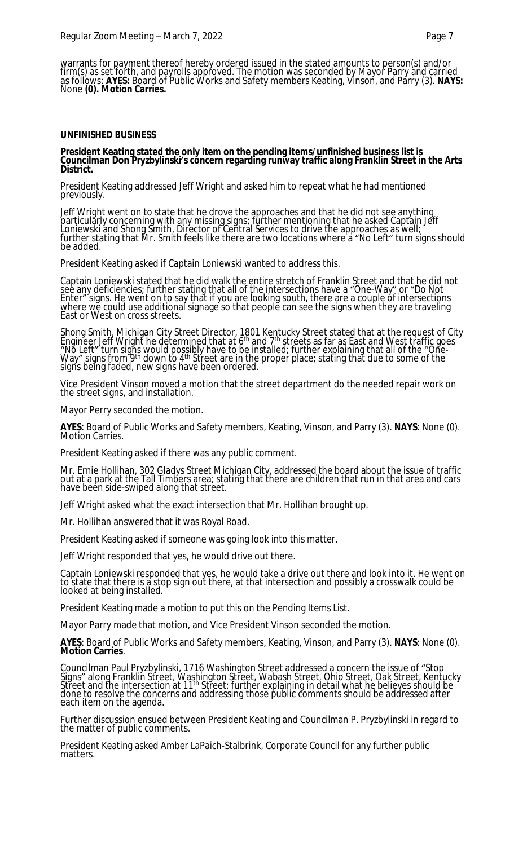warrants for payment thereof hereby ordered issued in the stated amounts to person(s) and/or firm(s) as set forth, and payrolls approved. The motion was seconded by Mayor Parry and carried as follows: **AYES:** Board of Public Works and Safety members Keating, Vinson, and Parry (3). **NAYS:**  None **(0). Motion Carries.**

## **UNFINISHED BUSINESS**

#### **President Keating stated the only item on the pending items/unfinished business list is Councilman Don Pryzbylinski's concern regarding runway traffic along Franklin Street in the Arts District.**

President Keating addressed Jeff Wright and asked him to repeat what he had mentioned previously.

Jeff Wright went on to state that he drove the approaches and that he did not see anything particulărly concerning with any missing signs; further mentioning that he asked Captain Jeff Loniewski and Shong Smith, Director of Central Services to drive the approaches as well; further stating that Mr. Smith feels like there are two locations where a "No Left" turn signs should be added.

President Keating asked if Captain Loniewski wanted to address this.

Captain Loniewski stated that he did walk the entire stretch of Franklin Street and that he did not see any deficiencies; further stating that all of the intersections have a "One-Way" or "Do Not Enter" signs. He went on to say that if you are looking south, there are a couple of intersections where we could use additional signage so that people can see the signs when they are traveling East or West on cross streets.

Shong Smith, Michigan City Street Director, 1801 Kentucky Street stated that at the request of City Engineer Jeff Wright he determined that at 6th and 7th streets as far as East and West traffic goes "No Left" turn signs would possibly have to be installed; further explaining that all of the "One-Way" signs from 9<sup>th</sup> down to 4<sup>th</sup> Street are in the proper place; stating that due to some of the signs being faded, new signs have been ordered.

Vice President Vinson moved a motion that the street department do the needed repair work on the street signs, and installation.

Mayor Perry seconded the motion.

**AYES**: Board of Public Works and Safety members, Keating, Vinson, and Parry (3). **NAYS**: None (0). Motion Carries.

President Keating asked if there was any public comment.

Mr. Ernie Hollihan, 302 Gladys Street Michigan City, addressed the board about the issue of traffic out at a park at the Tall Timbers area; stating that there are children that run in that area and cars have been side-swiped along that street.

Jeff Wright asked what the exact intersection that Mr. Hollihan brought up.

Mr. Hollihan answered that it was Royal Road.

President Keating asked if someone was going look into this matter.

Jeff Wright responded that yes, he would drive out there.

Captain Loniewski responded that yes, he would take a drive out there and look into it. He went on to state that there is a stop sign out there, at that intersection and possibly a crosswalk could be looked at being installed.

President Keating made a motion to put this on the Pending Items List.

Mayor Parry made that motion, and Vice President Vinson seconded the motion.

**AYES**: Board of Public Works and Safety members, Keating, Vinson, and Parry (3). **NAYS**: None (0). **Motion Carries**.

Councilman Paul Pryzbylinski, 1716 Washington Street addressed a concern the issue of "Stop Signs" along Franklin Street, Washington Street, Wabash Street, Ohio Street, Oak Street, Kentucky Street and the intersection at 11<sup>th</sup> Street; further explaining in detail what he believes should be done to resolve the concerns and addressing those public comments should be addressed after each item on the agenda.

Further discussion ensued between President Keating and Councilman P. Pryzbylinski in regard to the matter of public comments.

President Keating asked Amber LaPaich-Stalbrink, Corporate Council for any further public matters.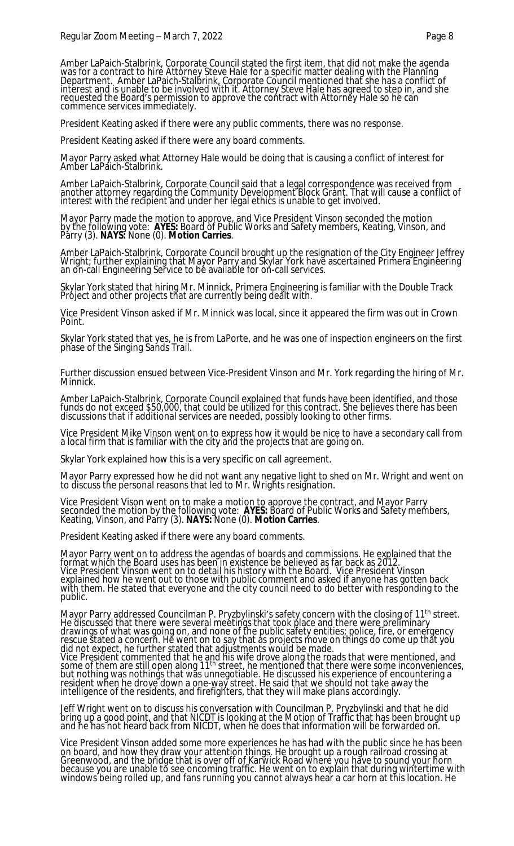Amber LaPaich-Stalbrink, Corporate Council stated the first item, that did not make the agenda was for a contract to hire Attorney Steve Hale for a specific matter dealing with the Planning Department. Amber LaPaich-Stalbrink, Corporate Council mentioned that she has a conflict of interest and is unable to be involved with it. Attorney Steve Hale has agreed to step in, and she requested the Board's permission to approve the contract with Attorney Hale so he can commence services immediately.

President Keating asked if there were any public comments, there was no response.

President Keating asked if there were any board comments.

Mayor Parry asked what Attorney Hale would be doing that is causing a conflict of interest for Amber LaPaich-Stalbrink.

Amber LaPaich-Stalbrink, Corporate Council said that a legal correspondence was received from another attorney regarding the Community Development Block Grant. That will cause a conflict of interest with the recipient and under her légal ethics is unable to get involved.

Mayor Parry made the motion to approve, and Vice President Vinson seconded the motion by the following vote: **AYES:** Board of Public Works and Safety members, Keating, Vinson, and Parry (3). **NAYS:** None (0). **Motion Carries**.

Amber LaPaich-Stalbrink, Corporate Council brought up the resignation of the City Engineer Jeffrey Wright; further explaining that Mayor Parry and Skylar York have ascertained Primera Engineering an on-call Engineering Service to be available for on-call services.

Skylar York stated that hiring Mr. Minnick, Primera Engineering is familiar with the Double Track Próject and other projects that are currently being dealt with.

Vice President Vinson asked if Mr. Minnick was local, since it appeared the firm was out in Crown Point.

Skylar York stated that yes, he is from LaPorte, and he was one of inspection engineers on the first phase of the Singing Sands Trail.

Further discussion ensued between Vice-President Vinson and Mr. York regarding the hiring of Mr. Minnick.

Amber LaPaich-Stalbrink, Corporate Council explained that funds have been identified, and those funds do not exceed \$50,000, that could be utilized for this contract. She believes there has been discussions that if additional services are needed, possibly looking to other firms.

Vice President Mike Vinson went on to express how it would be nice to have a secondary call from a local firm that is familiar with the city and the projects that are going on.

Skylar York explained how this is a very specific on call agreement.

Mayor Parry expressed how he did not want any negative light to shed on Mr. Wright and went on to discuss the personal reasons that led to Mr. Wrights resignation.

Vice President Vison went on to make a motion to approve the contract, and Mayor Parry seconded the motion by the following vote: **AYES:** Board of Public Works and Safety members, Keating, Vinson, and Parry (3). **NAYS:** None (0). **Motion Carries**.

President Keating asked if there were any board comments.

Mayor Parry went on to address the agendas of boards and commissions. He explained that the format which the Board uses has been in existence be believed as far back as 2012. Vice President Vinson went on to detail his history with the Board. Vice President Vinson explained how he went out to those with public comment and asked if anyone has gotten back with them. He stated that everyone and the city council need to do better with responding to the public.

Mayor Parry addressed Councilman P. Pryzbylinski's safety concern with the closing of 11<sup>th</sup> street. He discussed that there were several meetings that took place and there were preliminary drawings of what was going on, and none of the public safety entities; police, fire, or emergency rescue stated a concern. He went on to say that as projects move on things do come up that you did not expect, he further stated that adjustments would be made. Vice President commented that he and his wife drove along the roads that were mentioned, and some of them are still open along 11<sup>th</sup> street, he mentioned that there were some inconveniences, but nothing was nothings that was unnegotiable. He discussed his experience of encountering a resident when he drove down a one-way street. He said that we should not take away the intelligence of the residents, and firefighters, that they will make plans accordingly.

Jeff Wright went on to discuss his conversation with Councilman P. Pryzbylinski and that he did bring up a good point, and that NICDT is looking at the Motion of Traffic that has been brought up and h̃e has not heard back from NICDT, when hẽ does that information will be forwarded oñ.

Vice President Vinson added some more experiences he has had with the public since he has been on board, and how they draw your attention things. He brought up a rough railroad crossing at Greenwood, and the bridge that is over off of Karwick Road where you have to sound your horn because you are unable tŏ see oncoming traffic. He went on to explain that during wintertime with windows being rolled up, and fans running you cannot always hear a car horn at this location. He